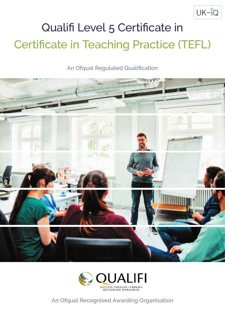

# Qualifi Level 5 Certificate in Certificate in Teaching Practice (TEFL)

**An Ofqual Regulated Qualification**





**An Ofqual Recognised Awarding Organisation**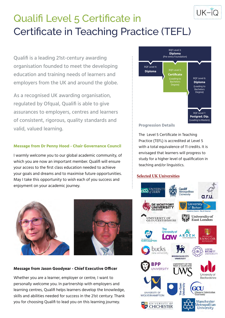# Qualifi Level 5 Certificate in Certificate in Teaching Practice (TEFL)

Qualifi is a leading 21st-century awarding organisation founded to meet the developing education and training needs of learners and employers from the UK and around the globe.

As a recognised UK awarding organisation, regulated by Ofqual, Qualifi is able to give assurances to employers, centres and learners of consistent, rigorous, quality standards and valid, valued learning.

### **Message from Dr Penny Hood - Chair Governance Council**

I warmly welcome you to our global academic community, of which you are now an important member. Qualifi will ensure your access to the first class education needed to achieve your goals and dreams and to maximise future opportunities. May I take this opportunity to wish each of you success and enjoyment on your academic journey.





#### **Message from Jason Goodyear - Chief Executive Officer**

Whether you are a learner, employer or centre, I want to personally welcome you. In partnership with employers and learning centres, Qualifi helps learners develop the knowledge, skills and abilities needed for success in the 21st century. Thank you for choosing Qualifi to lead you on this learning journey.



 $UK-IO$ 

#### **Progression Details**

The Level 5 Certificate in Teaching Practice (TEFL) is accredited at Level 5 with a total equivalence of 11 credits. It is envisaged that learners will progress to study for a higher level of qualification in teaching and/or linguistics.

#### **Selected UK Universities**

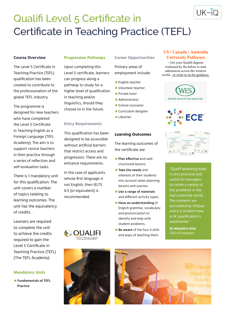# Qualifi Level 5 Certificate in Certificate in Teaching Practice (TEFL)

#### **Course Overview**

The Level 5 Certificate in Teaching Practice (TEFL) qualification has been created to contribute to the professionalism of the global TEFL industry.

The programme is designed for new teachers who have completed the Level 5 Certificate in Teaching English as a Foreign Language (TEFL Academy). The aim is to support novice teachers in their practice through a series of reflection and self-evaluation tasks.

There is 1 mandatory unit for this qualification. The unit covers a number of topics relating to learning outcomes. The unit has the equivalency of credits.

Learners are required to complete the unit to achieve the credits required to gain the Level 5 Certificate in Teaching Practice (TEFL) (The TEFL Academy).

#### **Mandatory Units**

 **Fundamentals of TEFL Practice**

#### **Progression Pathways**

Upon completing this Level 5 certificate, learners can progress along a pathway to study for a higher level of qualification in teaching and/or linguistics, should they choose to in the future.

#### **Entry Requirements**

This qualification has been designed to be accessible without artificial barriers that restrict access and progression. There are no entrance requirements.

In the case of applicants whose first language is not English, then IELTS 6.5 (or equivalent) is recommended.

#### **Career Opportunities**

Primary areas of employment include:

- **English teacher**
- Volunteer teacher
- **Private tutor**
- Administrator
- School counselor
- **Curriculum designer**
- Librarian

#### **Learning Outcomes**

The learning outcomes of the certificate are:

- **Plan effective** and wellstructured lessons.
- **Take the needs** and interests of their students into account when planning lessons and courses.
- **Use a range of materials** and different activity types.
- **Have an understanding** of English grammar, vocabulary and pronunciation to identify and help with student problems.
- **Be aware** of the four 4 skills and ways of teaching them.

#### **US / Canada / Australia University Pathways**

 $UK-IO$ 

**-** Get your Qualifi degrees evaluated by the below to seek admissions across the western world [- or write to us for guidance.](mailto:admissions@uk-iq.com) 







"Qualifi awarding body is very practical and useful for managers to tackle a variety of the problems in the real corporate world. The contents are accredited by OfQual and it is evident how a UK qualification is worthwhile "

**Dr.Motohiro Kita** CEO of ExeJapan



**CUALIFI**